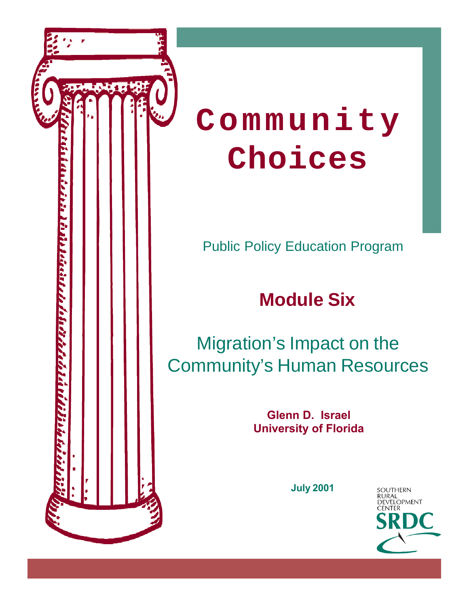

# **Community Choices**

Public Policy Education Program

# **Module Six**

### Migration's Impact on the Community's Human Resources

**Glenn D. Israel University of Florida**

**July 2001**

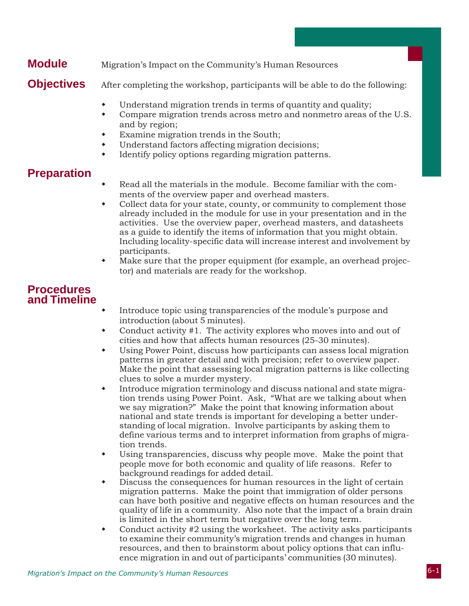#### **Module** Migration's Impact on the Community's Human Resources

**Objectives** After completing the workshop, participants will be able to do the following:

- Understand migration trends in terms of quantity and quality;
- Compare migration trends across metro and nonmetro areas of the U.S. and by region;
- Examine migration trends in the South;
- Understand factors affecting migration decisions;
- Identify policy options regarding migration patterns.

#### **Preparation**

- Read all the materials in the module. Become familiar with the comments of the overview paper and overhead masters.
- Collect data for your state, county, or community to complement those already included in the module for use in your presentation and in the activities. Use the overview paper, overhead masters, and datasheets as a guide to identify the items of information that you might obtain. Including locality-specific data will increase interest and involvement by participants.
- Make sure that the proper equipment (for example, an overhead projector) and materials are ready for the workshop.

#### **Procedures and Timeline**

- Introduce topic using transparencies of the module's purpose and introduction (about 5 minutes).
- Conduct activity #1. The activity explores who moves into and out of cities and how that affects human resources (25-30 minutes).
- Using Power Point, discuss how participants can assess local migration patterns in greater detail and with precision; refer to overview paper. Make the point that assessing local migration patterns is like collecting clues to solve a murder mystery.
- Introduce migration terminology and discuss national and state migration trends using Power Point. Ask, "What are we talking about when we say migration?" Make the point that knowing information about national and state trends is important for developing a better understanding of local migration. Involve participants by asking them to define various terms and to interpret information from graphs of migration trends.
- Using transparencies, discuss why people move. Make the point that people move for both economic and quality of life reasons. Refer to background readings for added detail.
- Discuss the consequences for human resources in the light of certain migration patterns. Make the point that immigration of older persons can have both positive and negative effects on human resources and the quality of life in a community. Also note that the impact of a brain drain is limited in the short term but negative over the long term.
- Conduct activity #2 using the worksheet. The activity asks participants to examine their community's migration trends and changes in human resources, and then to brainstorm about policy options that can influence migration in and out of participants' communities (30 minutes).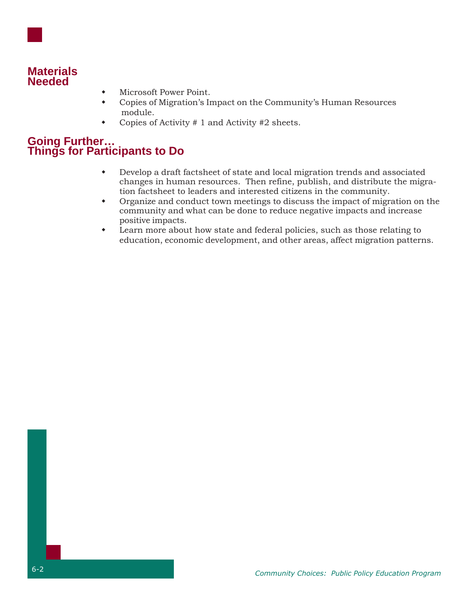

#### **Materials Needed**

- Microsoft Power Point.
- Copies of Migration's Impact on the Community's Human Resources module.
- Copies of Activity # 1 and Activity #2 sheets.

#### **Going Further… Things for Participants to Do**

- Develop a draft factsheet of state and local migration trends and associated changes in human resources. Then refine, publish, and distribute the migration factsheet to leaders and interested citizens in the community.
- Organize and conduct town meetings to discuss the impact of migration on the community and what can be done to reduce negative impacts and increase positive impacts.
- Learn more about how state and federal policies, such as those relating to education, economic development, and other areas, affect migration patterns.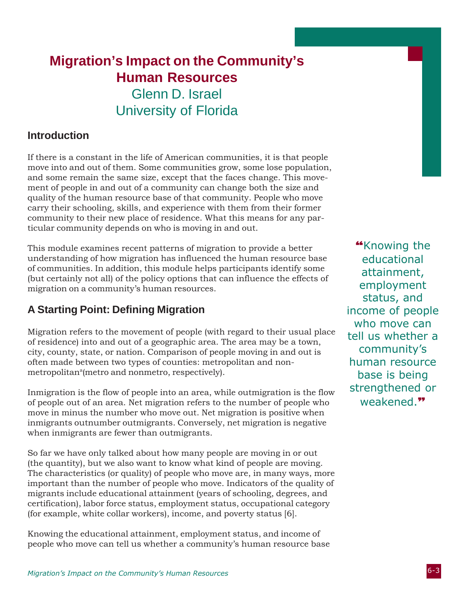### **Migration's Impact on the Community's Human Resources** Glenn D. Israel University of Florida

#### **Introduction**

If there is a constant in the life of American communities, it is that people move into and out of them. Some communities grow, some lose population, and some remain the same size, except that the faces change. This movement of people in and out of a community can change both the size and quality of the human resource base of that community. People who move carry their schooling, skills, and experience with them from their former community to their new place of residence. What this means for any particular community depends on who is moving in and out.

This module examines recent patterns of migration to provide a better understanding of how migration has influenced the human resource base of communities. In addition, this module helps participants identify some (but certainly not all) of the policy options that can influence the effects of migration on a community's human resources.

#### **A Starting Point: Defining Migration**

Migration refers to the movement of people (with regard to their usual place of residence) into and out of a geographic area. The area may be a town, city, county, state, or nation. Comparison of people moving in and out is often made between two types of counties: metropolitan and nonmetropolitan<sup>a</sup>(metro and nonmetro, respectively).

Inmigration is the flow of people into an area, while outmigration is the flow of people out of an area. Net migration refers to the number of people who move in minus the number who move out. Net migration is positive when inmigrants outnumber outmigrants. Conversely, net migration is negative when inmigrants are fewer than outmigrants.

So far we have only talked about how many people are moving in or out (the quantity), but we also want to know what kind of people are moving. The characteristics (or quality) of people who move are, in many ways, more important than the number of people who move. Indicators of the quality of migrants include educational attainment (years of schooling, degrees, and certification), labor force status, employment status, occupational category (for example, white collar workers), income, and poverty status [6].

Knowing the educational attainment, employment status, and income of people who move can tell us whether a community's human resource base

**"**Knowing the educational attainment, employment status, and income of people who move can tell us whether a community's human resource base is being strengthened or weakened.**"**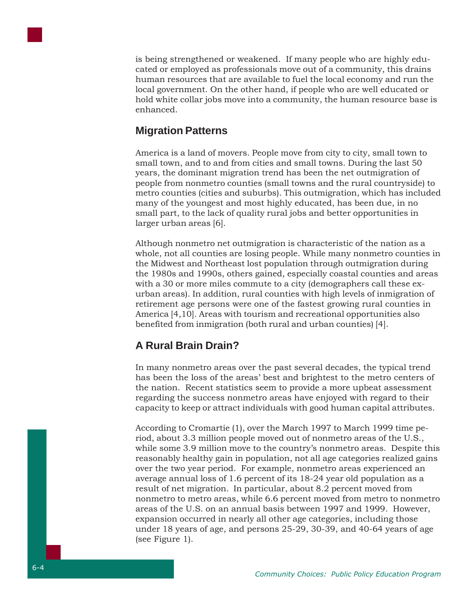

is being strengthened or weakened. If many people who are highly educated or employed as professionals move out of a community, this drains human resources that are available to fuel the local economy and run the local government. On the other hand, if people who are well educated or hold white collar jobs move into a community, the human resource base is enhanced.

#### **Migration Patterns**

America is a land of movers. People move from city to city, small town to small town, and to and from cities and small towns. During the last 50 years, the dominant migration trend has been the net outmigration of people from nonmetro counties (small towns and the rural countryside) to metro counties (cities and suburbs). This outmigration, which has included many of the youngest and most highly educated, has been due, in no small part, to the lack of quality rural jobs and better opportunities in larger urban areas [6].

Although nonmetro net outmigration is characteristic of the nation as a whole, not all counties are losing people. While many nonmetro counties in the Midwest and Northeast lost population through outmigration during the 1980s and 1990s, others gained, especially coastal counties and areas with a 30 or more miles commute to a city (demographers call these exurban areas). In addition, rural counties with high levels of inmigration of retirement age persons were one of the fastest growing rural counties in America [4,10]. Areas with tourism and recreational opportunities also benefited from inmigration (both rural and urban counties) [4].

#### **A Rural Brain Drain?**

In many nonmetro areas over the past several decades, the typical trend has been the loss of the areas' best and brightest to the metro centers of the nation. Recent statistics seem to provide a more upbeat assessment regarding the success nonmetro areas have enjoyed with regard to their capacity to keep or attract individuals with good human capital attributes.

According to Cromartie (1), over the March 1997 to March 1999 time period, about 3.3 million people moved out of nonmetro areas of the U.S., while some 3.9 million move to the country's nonmetro areas. Despite this reasonably healthy gain in population, not all age categories realized gains over the two year period. For example, nonmetro areas experienced an average annual loss of 1.6 percent of its 18-24 year old population as a result of net migration. In particular, about 8.2 percent moved from nonmetro to metro areas, while 6.6 percent moved from metro to nonmetro areas of the U.S. on an annual basis between 1997 and 1999. However, expansion occurred in nearly all other age categories, including those under 18 years of age, and persons 25-29, 30-39, and 40-64 years of age (see Figure 1).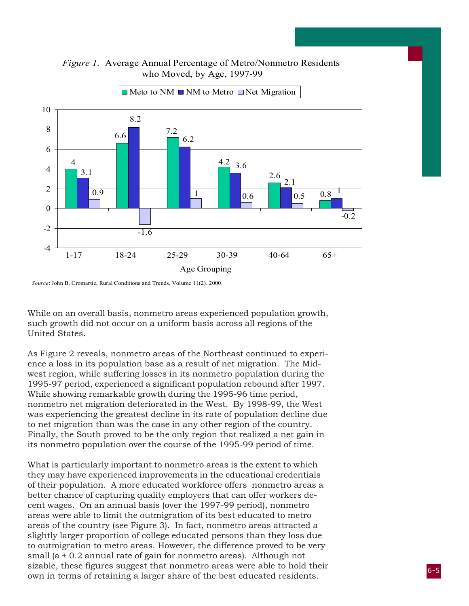



 $\blacksquare$  Meto to NM  $\blacksquare$  NM to Metro  $\blacksquare$  Net Migration

*Source*: John B. Cromartie, Rural Conditions and Trends, Volume 11(2). 2000.

While on an overall basis, nonmetro areas experienced population growth, such growth did not occur on a uniform basis across all regions of the United States.

As Figure 2 reveals, nonmetro areas of the Northeast continued to experience a loss in its population base as a result of net migration. The Midwest region, while suffering losses in its nonmetro population during the 1995-97 period, experienced a significant population rebound after 1997. While showing remarkable growth during the 1995-96 time period, nonmetro net migration deteriorated in the West. By 1998-99, the West was experiencing the greatest decline in its rate of population decline due to net migration than was the case in any other region of the country. Finally, the South proved to be the only region that realized a net gain in its nonmetro population over the course of the 1995-99 period of time.

What is particularly important to nonmetro areas is the extent to which they may have experienced improvements in the educational credentials of their population. A more educated workforce offers nonmetro areas a better chance of capturing quality employers that can offer workers decent wages. On an annual basis (over the 1997-99 period), nonmetro areas were able to limit the outmigration of its best educated to metro areas of the country (see Figure 3). In fact, nonmetro areas attracted a slightly larger proportion of college educated persons than they loss due to outmigration to metro areas. However, the difference proved to be very small (a + 0.2 annual rate of gain for nonmetro areas). Although not sizable, these figures suggest that nonmetro areas were able to hold their own in terms of retaining a larger share of the best educated residents.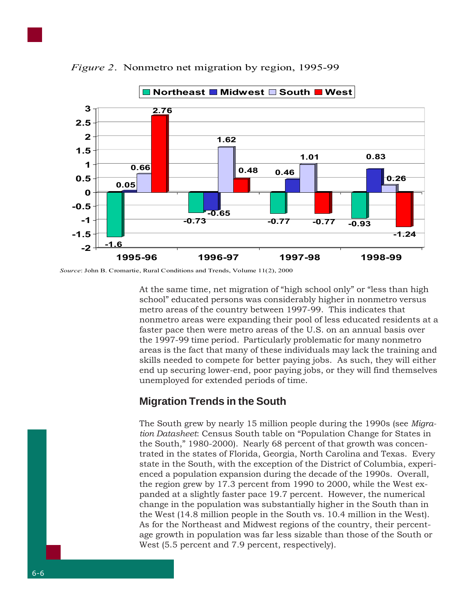

*Figure 2*. Nonmetro net migration by region, 1995-99

*Source*: John B. Cromartie, Rural Conditions and Trends, Volume 11(2), 2000

At the same time, net migration of "high school only" or "less than high school" educated persons was considerably higher in nonmetro versus metro areas of the country between 1997-99. This indicates that nonmetro areas were expanding their pool of less educated residents at a faster pace then were metro areas of the U.S. on an annual basis over the 1997-99 time period. Particularly problematic for many nonmetro areas is the fact that many of these individuals may lack the training and skills needed to compete for better paying jobs. As such, they will either end up securing lower-end, poor paying jobs, or they will find themselves unemployed for extended periods of time.

#### **Migration Trends in the South**

The South grew by nearly 15 million people during the 1990s (see *Migration Datasheet*: Census South table on "Population Change for States in the South," 1980-2000). Nearly 68 percent of that growth was concentrated in the states of Florida, Georgia, North Carolina and Texas. Every state in the South, with the exception of the District of Columbia, experienced a population expansion during the decade of the 1990s. Overall, the region grew by 17.3 percent from 1990 to 2000, while the West expanded at a slightly faster pace 19.7 percent. However, the numerical change in the population was substantially higher in the South than in the West (14.8 million people in the South vs. 10.4 million in the West). As for the Northeast and Midwest regions of the country, their percentage growth in population was far less sizable than those of the South or West  $(5.5$  percent and 7.9 percent, respectively).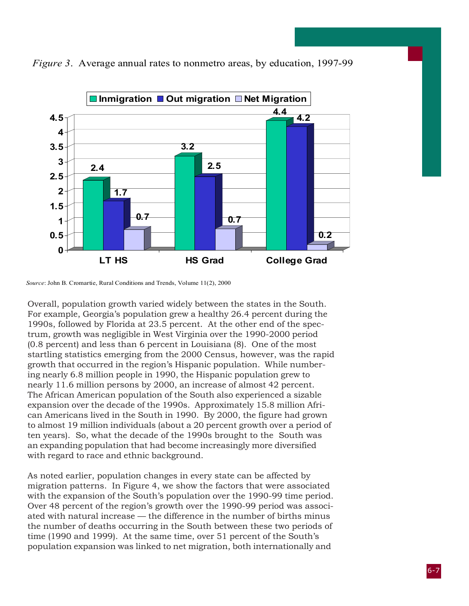

*Figure 3*. Average annual rates to nonmetro areas, by education, 1997-99

Overall, population growth varied widely between the states in the South. For example, Georgia's population grew a healthy 26.4 percent during the 1990s, followed by Florida at 23.5 percent. At the other end of the spectrum, growth was negligible in West Virginia over the 1990-2000 period (0.8 percent) and less than 6 percent in Louisiana (8). One of the most startling statistics emerging from the 2000 Census, however, was the rapid growth that occurred in the region's Hispanic population. While numbering nearly 6.8 million people in 1990, the Hispanic population grew to nearly 11.6 million persons by 2000, an increase of almost 42 percent. The African American population of the South also experienced a sizable expansion over the decade of the 1990s. Approximately 15.8 million African Americans lived in the South in 1990. By 2000, the figure had grown to almost 19 million individuals (about a 20 percent growth over a period of ten years). So, what the decade of the 1990s brought to the South was an expanding population that had become increasingly more diversified with regard to race and ethnic background.

As noted earlier, population changes in every state can be affected by migration patterns. In Figure 4, we show the factors that were associated with the expansion of the South's population over the 1990-99 time period. Over 48 percent of the region's growth over the 1990-99 period was associated with natural increase — the difference in the number of births minus the number of deaths occurring in the South between these two periods of time (1990 and 1999). At the same time, over 51 percent of the South's population expansion was linked to net migration, both internationally and

*Source*: John B. Cromartie, Rural Conditions and Trends, Volume 11(2), 2000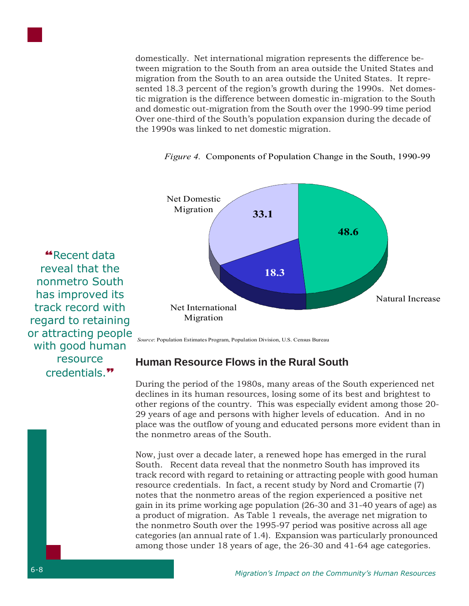domestically. Net international migration represents the difference between migration to the South from an area outside the United States and migration from the South to an area outside the United States. It represented 18.3 percent of the region's growth during the 1990s. Net domestic migration is the difference between domestic in-migration to the South and domestic out-migration from the South over the 1990-99 time period Over one-third of the South's population expansion during the decade of the 1990s was linked to net domestic migration.



*Figure 4.* Components of Population Change in the South, 1990-99

*Source*: Population Estimates Program, Population Division, U.S. Census Bureau

**Human Resource Flows in the Rural South**

During the period of the 1980s, many areas of the South experienced net declines in its human resources, losing some of its best and brightest to other regions of the country. This was especially evident among those 20- 29 years of age and persons with higher levels of education. And in no place was the outflow of young and educated persons more evident than in the nonmetro areas of the South.

Now, just over a decade later, a renewed hope has emerged in the rural South. Recent data reveal that the nonmetro South has improved its track record with regard to retaining or attracting people with good human resource credentials. In fact, a recent study by Nord and Cromartie (7) notes that the nonmetro areas of the region experienced a positive net gain in its prime working age population (26-30 and 31-40 years of age) as a product of migration. As Table 1 reveals, the average net migration to the nonmetro South over the 1995-97 period was positive across all age categories (an annual rate of 1.4). Expansion was particularly pronounced among those under 18 years of age, the 26-30 and 41-64 age categories.

#### reveal that the nonmetro South has improved its track record with regard to retaining or attracting people with good human resource credentials.**"**

**"**Recent data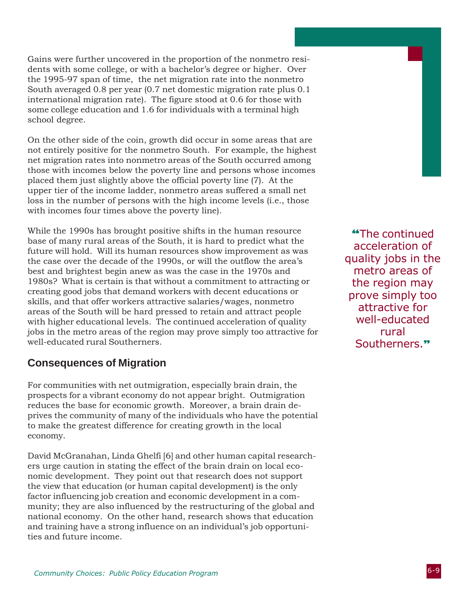Gains were further uncovered in the proportion of the nonmetro residents with some college, or with a bachelor's degree or higher. Over the 1995-97 span of time, the net migration rate into the nonmetro South averaged 0.8 per year (0.7 net domestic migration rate plus 0.1 international migration rate). The figure stood at 0.6 for those with some college education and 1.6 for individuals with a terminal high school degree.

On the other side of the coin, growth did occur in some areas that are not entirely positive for the nonmetro South. For example, the highest net migration rates into nonmetro areas of the South occurred among those with incomes below the poverty line and persons whose incomes placed them just slightly above the official poverty line (7). At the upper tier of the income ladder, nonmetro areas suffered a small net loss in the number of persons with the high income levels (i.e., those with incomes four times above the poverty line).

While the 1990s has brought positive shifts in the human resource base of many rural areas of the South, it is hard to predict what the future will hold. Will its human resources show improvement as was the case over the decade of the 1990s, or will the outflow the area's best and brightest begin anew as was the case in the 1970s and 1980s? What is certain is that without a commitment to attracting or creating good jobs that demand workers with decent educations or skills, and that offer workers attractive salaries/wages, nonmetro areas of the South will be hard pressed to retain and attract people with higher educational levels. The continued acceleration of quality jobs in the metro areas of the region may prove simply too attractive for well-educated rural Southerners.

#### **Consequences of Migration**

For communities with net outmigration, especially brain drain, the prospects for a vibrant economy do not appear bright. Outmigration reduces the base for economic growth. Moreover, a brain drain deprives the community of many of the individuals who have the potential to make the greatest difference for creating growth in the local economy.

David McGranahan, Linda Ghelfi [6] and other human capital researchers urge caution in stating the effect of the brain drain on local economic development. They point out that research does not support the view that education (or human capital development) is the only factor influencing job creation and economic development in a community; they are also influenced by the restructuring of the global and national economy. On the other hand, research shows that education and training have a strong influence on an individual's job opportunities and future income.

**"**The continued acceleration of quality jobs in the metro areas of the region may prove simply too attractive for well-educated rural Southerners.**"**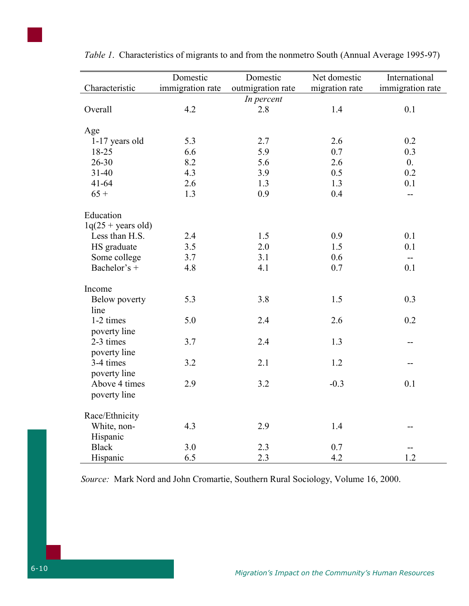| Characteristic            | Domestic<br>immigration rate | Domestic<br>outmigration rate | Net domestic<br>migration rate | International<br>immigration rate |
|---------------------------|------------------------------|-------------------------------|--------------------------------|-----------------------------------|
|                           |                              | In percent                    |                                |                                   |
| Overall                   | 4.2                          | 2.8                           | 1.4                            | 0.1                               |
| Age                       |                              |                               |                                |                                   |
| 1-17 years old            | 5.3                          | 2.7                           | 2.6                            | 0.2                               |
| 18-25                     | 6.6                          | 5.9                           | 0.7                            | 0.3                               |
| $26 - 30$                 | 8.2                          | 5.6                           | 2.6                            | $\overline{0}$ .                  |
| $31 - 40$                 | 4.3                          | 3.9                           | 0.5                            | 0.2                               |
| $41 - 64$                 | 2.6                          | 1.3                           | 1.3                            | 0.1                               |
| $65 +$                    | 1.3                          | 0.9                           | 0.4                            | --                                |
| Education                 |                              |                               |                                |                                   |
| $1q(25 + years$ old)      |                              |                               |                                |                                   |
| Less than H.S.            | 2.4                          | 1.5                           | 0.9                            | 0.1                               |
| HS graduate               | 3.5                          | 2.0                           | 1.5                            | 0.1                               |
| Some college              | 3.7                          | 3.1                           | 0.6                            | $\qquad \qquad -$                 |
| Bachelor's +              | 4.8                          | 4.1                           | 0.7                            | 0.1                               |
| Income                    |                              |                               |                                |                                   |
| Below poverty<br>line     | 5.3                          | 3.8                           | 1.5                            | 0.3                               |
| 1-2 times<br>poverty line | 5.0                          | 2.4                           | 2.6                            | 0.2                               |
| 2-3 times<br>poverty line | 3.7                          | 2.4                           | 1.3                            |                                   |
| 3-4 times<br>poverty line | 3.2                          | 2.1                           | 1.2                            |                                   |
| Above 4 times             | 2.9                          | 3.2                           | $-0.3$                         | 0.1                               |

*Table 1*. Characteristics of migrants to and from the nonmetro South (Annual Average 1995-97)

*Source:* Mark Nord and John Cromartie, Southern Rural Sociology, Volume 16, 2000.

Black 3.0 2.3 0.7 --Hispanic 6.5 2.3 4.2 1.2

 $2.9$   $3.2$   $-0.3$   $0.1$ 

4.3 2.9 1.4 --

poverty line

Race/Ethnicity White, non- Hispanic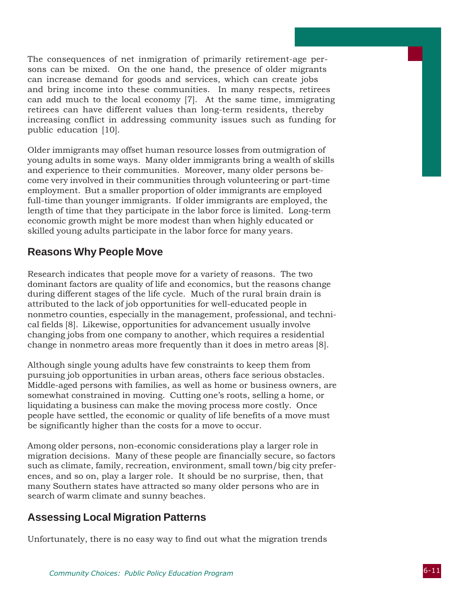The consequences of net inmigration of primarily retirement-age persons can be mixed. On the one hand, the presence of older migrants can increase demand for goods and services, which can create jobs and bring income into these communities. In many respects, retirees can add much to the local economy [7]. At the same time, immigrating retirees can have different values than long-term residents, thereby increasing conflict in addressing community issues such as funding for public education [10].

Older immigrants may offset human resource losses from outmigration of young adults in some ways. Many older immigrants bring a wealth of skills and experience to their communities. Moreover, many older persons become very involved in their communities through volunteering or part-time employment. But a smaller proportion of older immigrants are employed full-time than younger immigrants. If older immigrants are employed, the length of time that they participate in the labor force is limited. Long-term economic growth might be more modest than when highly educated or skilled young adults participate in the labor force for many years.

#### **Reasons Why People Move**

Research indicates that people move for a variety of reasons. The two dominant factors are quality of life and economics, but the reasons change during different stages of the life cycle. Much of the rural brain drain is attributed to the lack of job opportunities for well-educated people in nonmetro counties, especially in the management, professional, and technical fields [8]. Likewise, opportunities for advancement usually involve changing jobs from one company to another, which requires a residential change in nonmetro areas more frequently than it does in metro areas [8].

Although single young adults have few constraints to keep them from pursuing job opportunities in urban areas, others face serious obstacles. Middle-aged persons with families, as well as home or business owners, are somewhat constrained in moving. Cutting one's roots, selling a home, or liquidating a business can make the moving process more costly. Once people have settled, the economic or quality of life benefits of a move must be significantly higher than the costs for a move to occur.

Among older persons, non-economic considerations play a larger role in migration decisions. Many of these people are financially secure, so factors such as climate, family, recreation, environment, small town/big city preferences, and so on, play a larger role. It should be no surprise, then, that many Southern states have attracted so many older persons who are in search of warm climate and sunny beaches.

#### **Assessing Local Migration Patterns**

Unfortunately, there is no easy way to find out what the migration trends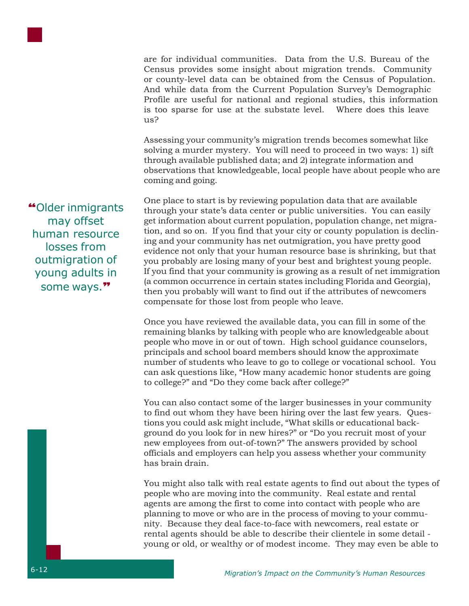

are for individual communities. Data from the U.S. Bureau of the Census provides some insight about migration trends. Community or county-level data can be obtained from the Census of Population. And while data from the Current Population Survey's Demographic Profile are useful for national and regional studies, this information is too sparse for use at the substate level. Where does this leave  $11s<sup>2</sup>$ 

Assessing your community's migration trends becomes somewhat like solving a murder mystery. You will need to proceed in two ways: 1) sift through available published data; and 2) integrate information and observations that knowledgeable, local people have about people who are coming and going.

One place to start is by reviewing population data that are available through your state's data center or public universities. You can easily get information about current population, population change, net migration, and so on. If you find that your city or county population is declining and your community has net outmigration, you have pretty good evidence not only that your human resource base is shrinking, but that you probably are losing many of your best and brightest young people. If you find that your community is growing as a result of net immigration (a common occurrence in certain states including Florida and Georgia), then you probably will want to find out if the attributes of newcomers compensate for those lost from people who leave.

Once you have reviewed the available data, you can fill in some of the remaining blanks by talking with people who are knowledgeable about people who move in or out of town. High school guidance counselors, principals and school board members should know the approximate number of students who leave to go to college or vocational school. You can ask questions like, "How many academic honor students are going to college?" and "Do they come back after college?"

You can also contact some of the larger businesses in your community to find out whom they have been hiring over the last few years. Questions you could ask might include, "What skills or educational background do you look for in new hires?" or "Do you recruit most of your new employees from out-of-town?" The answers provided by school officials and employers can help you assess whether your community has brain drain.

You might also talk with real estate agents to find out about the types of people who are moving into the community. Real estate and rental agents are among the first to come into contact with people who are planning to move or who are in the process of moving to your community. Because they deal face-to-face with newcomers, real estate or rental agents should be able to describe their clientele in some detail young or old, or wealthy or of modest income. They may even be able to

**"**Older inmigrants may offset human resource losses from outmigration of young adults in some ways.**"**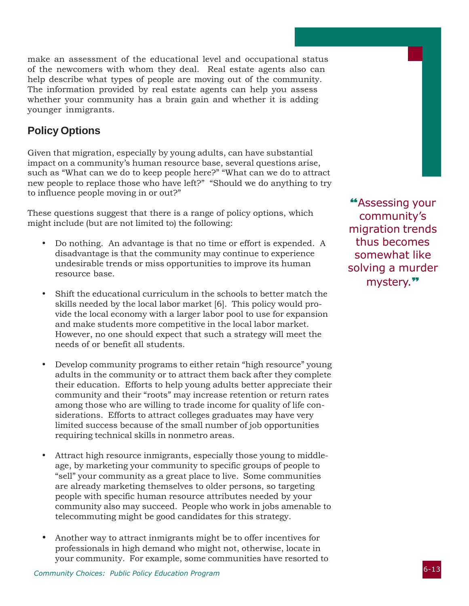make an assessment of the educational level and occupational status of the newcomers with whom they deal. Real estate agents also can help describe what types of people are moving out of the community. The information provided by real estate agents can help you assess whether your community has a brain gain and whether it is adding younger inmigrants.

#### **Policy Options**

Given that migration, especially by young adults, can have substantial impact on a community's human resource base, several questions arise, such as "What can we do to keep people here?" "What can we do to attract new people to replace those who have left?" "Should we do anything to try to influence people moving in or out?"

These questions suggest that there is a range of policy options, which might include (but are not limited to) the following:

- Do nothing. An advantage is that no time or effort is expended. A disadvantage is that the community may continue to experience undesirable trends or miss opportunities to improve its human resource base.
- Shift the educational curriculum in the schools to better match the skills needed by the local labor market [6]. This policy would provide the local economy with a larger labor pool to use for expansion and make students more competitive in the local labor market. However, no one should expect that such a strategy will meet the needs of or benefit all students.
- Develop community programs to either retain "high resource" young adults in the community or to attract them back after they complete their education. Efforts to help young adults better appreciate their community and their "roots" may increase retention or return rates among those who are willing to trade income for quality of life considerations. Efforts to attract colleges graduates may have very limited success because of the small number of job opportunities requiring technical skills in nonmetro areas.
- Attract high resource inmigrants, especially those young to middleage, by marketing your community to specific groups of people to "sell" your community as a great place to live. Some communities are already marketing themselves to older persons, so targeting people with specific human resource attributes needed by your community also may succeed. People who work in jobs amenable to telecommuting might be good candidates for this strategy.
- Another way to attract inmigrants might be to offer incentives for professionals in high demand who might not, otherwise, locate in your community. For example, some communities have resorted to

**"**Assessing your community's migration trends thus becomes somewhat like solving a murder mystery.**"**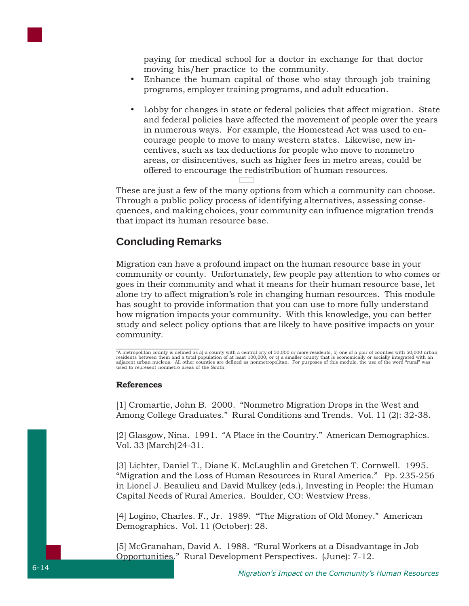paying for medical school for a doctor in exchange for that doctor moving his/her practice to the community.

- Enhance the human capital of those who stay through job training programs, employer training programs, and adult education.
- Lobby for changes in state or federal policies that affect migration. State and federal policies have affected the movement of people over the years in numerous ways. For example, the Homestead Act was used to encourage people to move to many western states. Likewise, new incentives, such as tax deductions for people who move to nonmetro areas, or disincentives, such as higher fees in metro areas, could be offered to encourage the redistribution of human resources.

These are just a few of the many options from which a community can choose. Through a public policy process of identifying alternatives, assessing consequences, and making choices, your community can influence migration trends that impact its human resource base.

#### **Concluding Remarks**

Migration can have a profound impact on the human resource base in your community or county. Unfortunately, few people pay attention to who comes or goes in their community and what it means for their human resource base, let alone try to affect migration's role in changing human resources. This module has sought to provide information that you can use to more fully understand how migration impacts your community. With this knowledge, you can better study and select policy options that are likely to have positive impacts on your community.

e<br>A metropolitan county is defined as a) a county with a central city of 50,000 or more residents, b) one of a pair of counties with 50,000 urban residents between them and a total population of at least 100,000, or c) a smaller county that is economically or socially integrated with an<br>adjacent urban nucleus. All other counties are defined as nonmetropolitan. For used to represent nonmetro areas of the South.

#### **References**

[1] Cromartie, John B. 2000. "Nonmetro Migration Drops in the West and Among College Graduates." Rural Conditions and Trends. Vol. 11 (2): 32-38.

[2] Glasgow, Nina. 1991. "A Place in the Country." American Demographics. Vol. 33 (March)24-31.

[3] Lichter, Daniel T., Diane K. McLaughlin and Gretchen T. Cornwell. 1995. "Migration and the Loss of Human Resources in Rural America." Pp. 235-256 in Lionel J. Beaulieu and David Mulkey (eds.), Investing in People: the Human Capital Needs of Rural America. Boulder, CO: Westview Press.

[4] Logino, Charles. F., Jr. 1989. "The Migration of Old Money." American Demographics. Vol. 11 (October): 28.

[5] McGranahan, David A. 1988. "Rural Workers at a Disadvantage in Job Opportunities." Rural Development Perspectives. (June): 7-12.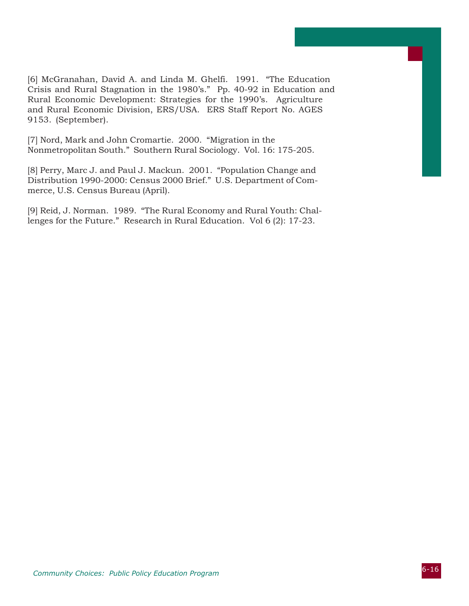[6] McGranahan, David A. and Linda M. Ghelfi. 1991. "The Education Crisis and Rural Stagnation in the 1980's." Pp. 40-92 in Education and Rural Economic Development: Strategies for the 1990's. Agriculture and Rural Economic Division, ERS/USA. ERS Staff Report No. AGES 9153. (September).

[7] Nord, Mark and John Cromartie. 2000. "Migration in the Nonmetropolitan South." Southern Rural Sociology. Vol. 16: 175-205.

[8] Perry, Marc J. and Paul J. Mackun. 2001. "Population Change and Distribution 1990-2000: Census 2000 Brief." U.S. Department of Commerce, U.S. Census Bureau (April).

[9] Reid, J. Norman. 1989. "The Rural Economy and Rural Youth: Challenges for the Future." Research in Rural Education. Vol 6 (2): 17-23.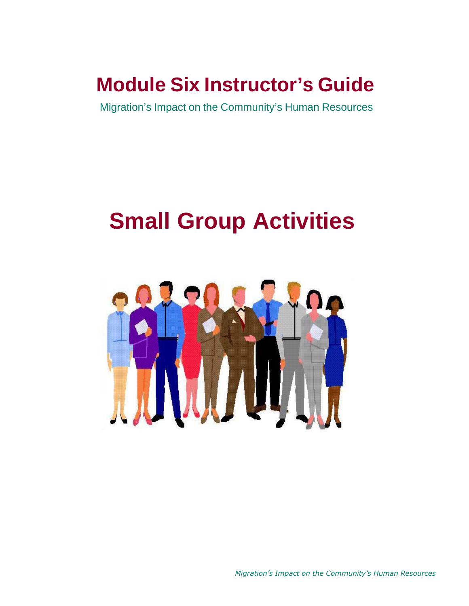## **Module Six Instructor's Guide**

Migration's Impact on the Community's Human Resources

# **Small Group Activities**



*Migration's Impact on the Community's Human Resources*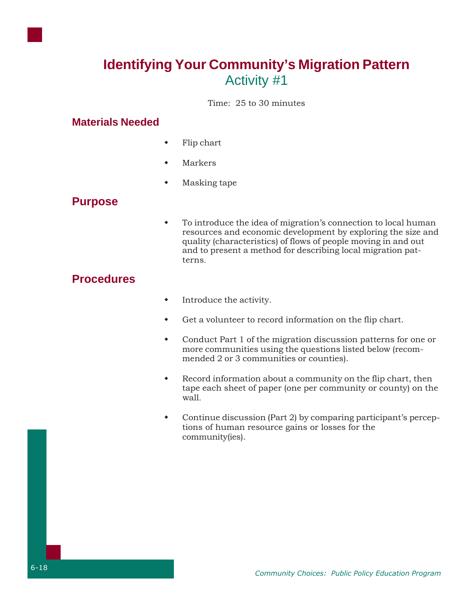

Time: 25 to 30 minutes

#### **Materials Needed**

- Flip chart
- Markers
- Masking tape

#### **Purpose**

 To introduce the idea of migration's connection to local human resources and economic development by exploring the size and quality (characteristics) of flows of people moving in and out and to present a method for describing local migration patterns.

#### **Procedures**

- $\bullet$  Introduce the activity.
- Get a volunteer to record information on the flip chart.
- Conduct Part 1 of the migration discussion patterns for one or more communities using the questions listed below (recommended 2 or 3 communities or counties).
- Record information about a community on the flip chart, then tape each sheet of paper (one per community or county) on the wall.
- Continue discussion (Part 2) by comparing participant's perceptions of human resource gains or losses for the community(ies).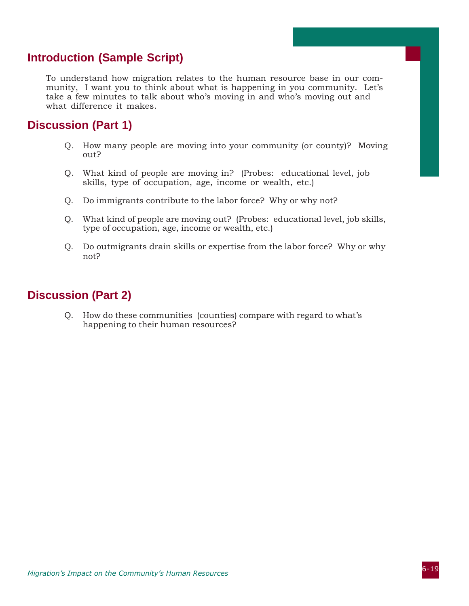#### **Introduction (Sample Script)**

To understand how migration relates to the human resource base in our community, I want you to think about what is happening in you community. Let's take a few minutes to talk about who's moving in and who's moving out and what difference it makes.

#### **Discussion (Part 1)**

- Q. How many people are moving into your community (or county)? Moving out?
- Q. What kind of people are moving in? (Probes: educational level, job skills, type of occupation, age, income or wealth, etc.)
- Q. Do immigrants contribute to the labor force? Why or why not?
- Q. What kind of people are moving out? (Probes: educational level, job skills, type of occupation, age, income or wealth, etc.)
- Q. Do outmigrants drain skills or expertise from the labor force? Why or why not?

#### **Discussion (Part 2)**

Q. How do these communities (counties) compare with regard to what's happening to their human resources?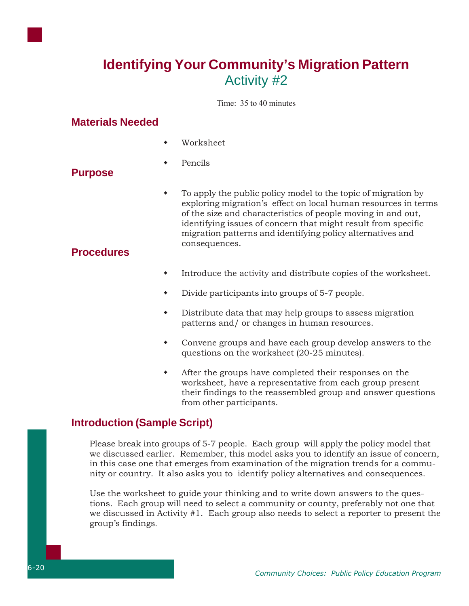

Time: 35 to 40 minutes

#### **Materials Needed**

- Worksheet
- Pencils

#### **Purpose**

 To apply the public policy model to the topic of migration by exploring migration's effect on local human resources in terms of the size and characteristics of people moving in and out, identifying issues of concern that might result from specific migration patterns and identifying policy alternatives and consequences.

#### **Procedures**

- Introduce the activity and distribute copies of the worksheet.
- Divide participants into groups of 5-7 people.
- Distribute data that may help groups to assess migration patterns and/ or changes in human resources.
- Convene groups and have each group develop answers to the questions on the worksheet (20-25 minutes).
- After the groups have completed their responses on the worksheet, have a representative from each group present their findings to the reassembled group and answer questions from other participants.

#### **Introduction (Sample Script)**

Please break into groups of 5-7 people. Each group will apply the policy model that we discussed earlier. Remember, this model asks you to identify an issue of concern, in this case one that emerges from examination of the migration trends for a community or country. It also asks you to identify policy alternatives and consequences.

Use the worksheet to guide your thinking and to write down answers to the questions. Each group will need to select a community or county, preferably not one that we discussed in Activity #1. Each group also needs to select a reporter to present the group's findings.